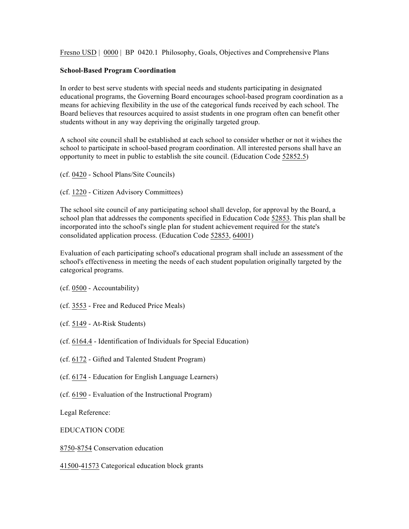Fresno USD | 0000 | BP 0420.1 Philosophy, Goals, Objectives and Comprehensive Plans

## **School-Based Program Coordination**

In order to best serve students with special needs and students participating in designated educational programs, the Governing Board encourages school-based program coordination as a means for achieving flexibility in the use of the categorical funds received by each school. The Board believes that resources acquired to assist students in one program often can benefit other students without in any way depriving the originally targeted group.

A school site council shall be established at each school to consider whether or not it wishes the school to participate in school-based program coordination. All interested persons shall have an opportunity to meet in public to establish the site council. (Education Code 52852.5)

- (cf. 0420 School Plans/Site Councils)
- (cf. 1220 Citizen Advisory Committees)

The school site council of any participating school shall develop, for approval by the Board, a school plan that addresses the components specified in Education Code 52853. This plan shall be incorporated into the school's single plan for student achievement required for the state's consolidated application process. (Education Code 52853, 64001)

Evaluation of each participating school's educational program shall include an assessment of the school's effectiveness in meeting the needs of each student population originally targeted by the categorical programs.

- (cf. 0500 Accountability)
- (cf. 3553 Free and Reduced Price Meals)
- (cf. 5149 At-Risk Students)
- (cf. 6164.4 Identification of Individuals for Special Education)
- (cf. 6172 Gifted and Talented Student Program)
- (cf. 6174 Education for English Language Learners)
- (cf. 6190 Evaluation of the Instructional Program)

Legal Reference:

EDUCATION CODE

8750-8754 Conservation education

41500-41573 Categorical education block grants